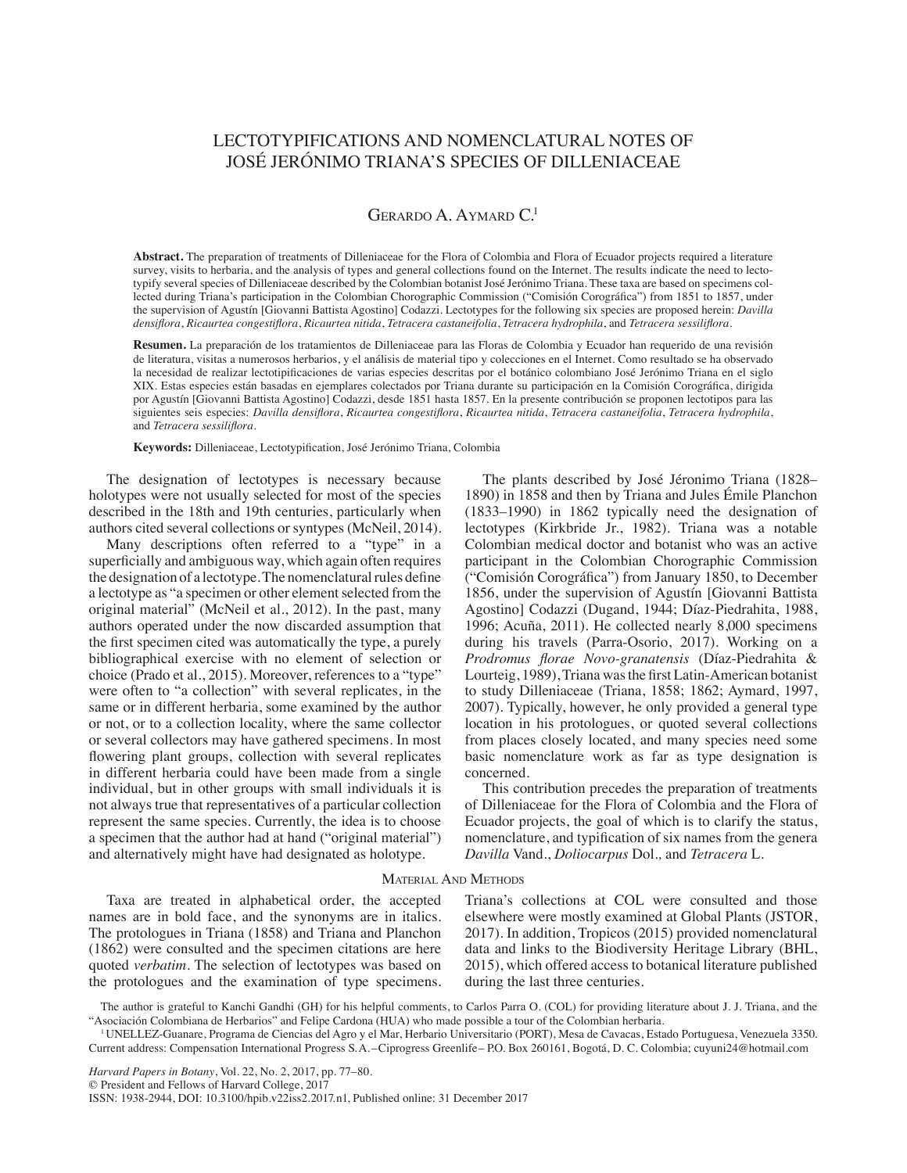# Lectotypifications and nomenclatural notes of José Jerónimo Triana's species of Dilleniaceae

## GERARDO A. AYMARD C.<sup>1</sup>

**Abstract.** The preparation of treatments of Dilleniaceae for the Flora of Colombia and Flora of Ecuador projects required a literature survey, visits to herbaria, and the analysis of types and general collections found on the Internet. The results indicate the need to lectotypify several species of Dilleniaceae described by the Colombian botanist José Jerónimo Triana. These taxa are based on specimens collected during Triana's participation in the Colombian Chorographic Commission ("Comisión Corográfica") from 1851 to 1857, under the supervision of Agustín [Giovanni Battista Agostino] Codazzi. Lectotypes for the following six species are proposed herein: *Davilla densiflora*, *Ricaurtea congestiflora*, *Ricaurtea nitida*, *Tetracera castaneifolia*, *Tetracera hydrophila*, and *Tetracera sessiliflora*.

**Resumen.** La preparación de los tratamientos de Dilleniaceae para las Floras de Colombia y Ecuador han requerido de una revisión de literatura, visitas a numerosos herbarios, y el análisis de material tipo y colecciones en el Internet. Como resultado se ha observado la necesidad de realizar lectotipificaciones de varias especies descritas por el botánico colombiano José Jerónimo Triana en el siglo XIX. Estas especies están basadas en ejemplares colectados por Triana durante su participación en la Comisión Corográfica, dirigida por Agustín [Giovanni Battista Agostino] Codazzi, desde 1851 hasta 1857. En la presente contribución se proponen lectotipos para las siguientes seis especies: *Davilla densiflora*, *Ricaurtea congestiflora*, *Ricaurtea nitida*, *Tetracera castaneifolia*, *Tetracera hydrophila*, and *Tetracera sessiliflora*.

**Keywords:** Dilleniaceae, Lectotypification, José Jerónimo Triana, Colombia

The designation of lectotypes is necessary because holotypes were not usually selected for most of the species described in the 18th and 19th centuries, particularly when authors cited several collections or syntypes (McNeil, 2014).

Many descriptions often referred to a "type" in a superficially and ambiguous way, which again often requires the designation of a lectotype. The nomenclatural rules define a lectotype as "a specimen or other element selected from the original material" (McNeil et al., 2012). In the past, many authors operated under the now discarded assumption that the first specimen cited was automatically the type, a purely bibliographical exercise with no element of selection or choice (Prado et al., 2015). Moreover, references to a "type" were often to "a collection" with several replicates, in the same or in different herbaria, some examined by the author or not, or to a collection locality, where the same collector or several collectors may have gathered specimens. In most flowering plant groups, collection with several replicates in different herbaria could have been made from a single individual, but in other groups with small individuals it is not always true that representatives of a particular collection represent the same species. Currently, the idea is to choose a specimen that the author had at hand ("original material") and alternatively might have had designated as holotype.

The plants described by José Jéronimo Triana (1828– 1890) in 1858 and then by Triana and Jules Émile Planchon (1833–1990) in 1862 typically need the designation of lectotypes (Kirkbride Jr., 1982). Triana was a notable Colombian medical doctor and botanist who was an active participant in the Colombian Chorographic Commission ("Comisión Corográfica") from January 1850, to December 1856, under the supervision of Agustín [Giovanni Battista Agostino] Codazzi (Dugand, 1944; Díaz-Piedrahita, 1988, 1996; Acuña, 2011). He collected nearly 8,000 specimens during his travels (Parra-Osorio, 2017). Working on a *Prodromus florae Novo-granatensis* (Díaz-Piedrahita & Lourteig, 1989), Triana was the first Latin-American botanist to study Dilleniaceae (Triana, 1858; 1862; Aymard, 1997, 2007). Typically, however, he only provided a general type location in his protologues, or quoted several collections from places closely located, and many species need some basic nomenclature work as far as type designation is concerned.

This contribution precedes the preparation of treatments of Dilleniaceae for the Flora of Colombia and the Flora of Ecuador projects, the goal of which is to clarify the status, nomenclature, and typification of six names from the genera *Davilla* Vand., *Doliocarpus* Dol.*,* and *Tetracera* L.

## Material And Methods

Taxa are treated in alphabetical order, the accepted names are in bold face, and the synonyms are in italics. The protologues in Triana (1858) and Triana and Planchon (1862) were consulted and the specimen citations are here quoted *verbatim*. The selection of lectotypes was based on the protologues and the examination of type specimens. Triana's collections at COL were consulted and those elsewhere were mostly examined at Global Plants (JSTOR, 2017). In addition, Tropicos (2015) provided nomenclatural data and links to the Biodiversity Heritage Library (BHL, 2015), which offered access to botanical literature published during the last three centuries.

The author is grateful to Kanchi Gandhi (GH) for his helpful comments, to Carlos Parra O. (COL) for providing literature about J. J. Triana, and the "Asociación Colombiana de Herbarios" and Felipe Cardona (HUA) who made possible a tour of the Colombian herbaria.

<sup>1</sup>UNELLEZ-Guanare, Programa de Ciencias del Agro y el Mar, Herbario Universitario (PORT), Mesa de Cavacas, Estado Portuguesa, Venezuela 3350. Current address: Compensation International Progress S. A. –Ciprogress Greenlife– P.O. Box 260161, Bogotá, D. C. Colombia; cuyuni24@hotmail.com

*Harvard Papers in Botany*, Vol. 22, No. 2, 2017, pp. 77–80.

© President and Fellows of Harvard College, 2017

ISSN: 1938-2944, DOI: 10.3100/hpib.v22iss2.2017.n1, Published online: 31 December 2017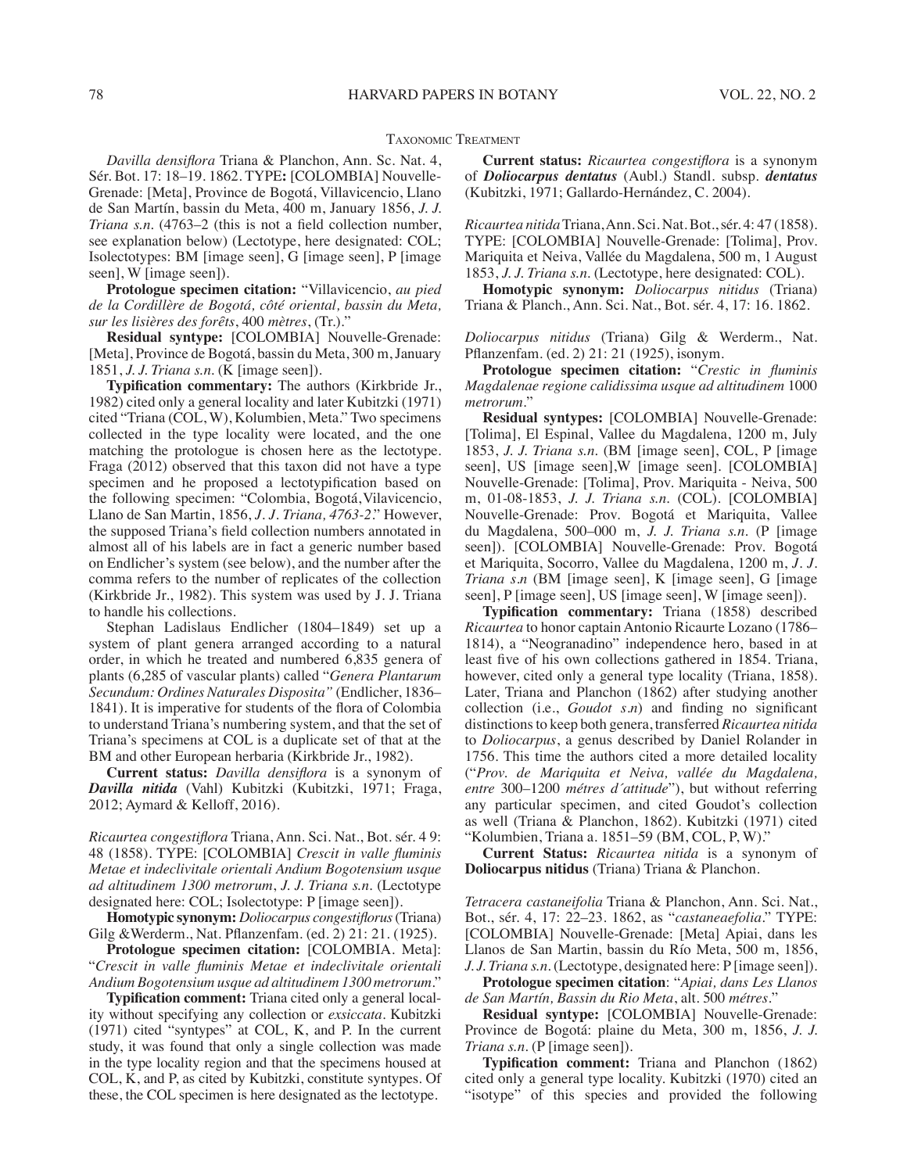#### Taxonomic Treatment

*Davilla densiflora* Triana & Planchon, Ann. Sc. Nat. 4, Sér. Bot. 17: 18–19. 1862. TYPE**:** [COLOMBIA] Nouvelle-Grenade: [Meta], Province de Bogotá, Villavicencio, Llano de San Martín, bassin du Meta, 400 m, January 1856, *J. J. Triana s.n.* (4763–2 (this is not a field collection number, see explanation below) (Lectotype, here designated: COL; Isolectotypes: BM [image seen], G [image seen], P [image seen], W [image seen]).

**Protologue specimen citation:** "Villavicencio, *au pied de la Cordillère de Bogotá, côté oriental, bassin du Meta, sur les lisières des forȇts*, 400 *mètres*, (Tr.)."

**Residual syntype:** [COLOMBIA] Nouvelle-Grenade: [Meta], Province de Bogotá, bassin du Meta, 300 m, January 1851, *J. J. Triana s.n.* (K [image seen]).

**Typification commentary:** The authors (Kirkbride Jr., 1982) cited only a general locality and later Kubitzki (1971) cited "Triana (COL, W), Kolumbien, Meta." Two specimens collected in the type locality were located, and the one matching the protologue is chosen here as the lectotype. Fraga (2012) observed that this taxon did not have a type specimen and he proposed a lectotypification based on the following specimen: "Colombia, Bogotá,Vilavicencio, Llano de San Martin, 1856, *J. J. Triana, 4763-2.*" However, the supposed Triana's field collection numbers annotated in almost all of his labels are in fact a generic number based on Endlicher's system (see below), and the number after the comma refers to the number of replicates of the collection (Kirkbride Jr., 1982). This system was used by J. J. Triana to handle his collections.

Stephan Ladislaus Endlicher (1804–1849) set up a system of plant genera arranged according to a natural order, in which he treated and numbered 6,835 genera of plants (6,285 of vascular plants) called "*Genera Plantarum Secundum: Ordines Naturales Disposita"* (Endlicher, 1836– 1841). It is imperative for students of the flora of Colombia to understand Triana's numbering system, and that the set of Triana's specimens at COL is a duplicate set of that at the BM and other European herbaria (Kirkbride Jr., 1982).

**Current status:** *Davilla densiflora* is a synonym of *Davilla nitida* (Vahl) Kubitzki (Kubitzki, 1971; Fraga, 2012; Aymard & Kelloff, 2016).

*Ricaurtea congestiflora* Triana, Ann. Sci. Nat., Bot. sér. 4 9: 48 (1858). TYPE: [COLOMBIA] *Crescit in valle fluminis Metae et indeclivitale orientali Andium Bogotensium usque ad altitudinem 1300 metrorum*, *J. J. Triana s.n.* (Lectotype designated here: COL; Isolectotype: P [image seen]).

**Homotypic synonym:** *Doliocarpus congestiflorus* (Triana) Gilg &Werderm., Nat. Pflanzenfam. (ed. 2) 21: 21. (1925).

**Protologue specimen citation:** [COLOMBIA. Meta]: "*Crescit in valle fluminis Metae et indeclivitale orientali Andium Bogotensium usque ad altitudinem 1300 metrorum.*"

**Typification comment:** Triana cited only a general locality without specifying any collection or *exsiccata*. Kubitzki (1971) cited "syntypes" at COL, K, and P. In the current study, it was found that only a single collection was made in the type locality region and that the specimens housed at COL, K, and P, as cited by Kubitzki, constitute syntypes. Of these, the COL specimen is here designated as the lectotype.

**Current status:** *Ricaurtea congestiflora* is a synonym of *Doliocarpus dentatus* (Aubl.) Standl. subsp. *dentatus* (Kubitzki, 1971; Gallardo-Hernández, C. 2004).

*Ricaurtea nitida* Triana, Ann. Sci. Nat. Bot., sér. 4: 47 (1858). TYPE: [Colombia] Nouvelle-Grenade: [Tolima], Prov. Mariquita et Neiva, Vallée du Magdalena, 500 m, 1 August 1853, *J. J. Triana s.n.* (Lectotype, here designated: COL).

**Homotypic synonym:** *Doliocarpus nitidus* (Triana) Triana & Planch., Ann. Sci. Nat., Bot. sér. 4, 17: 16. 1862.

*Doliocarpus nitidus* (Triana) Gilg & Werderm., Nat. Pflanzenfam. (ed. 2) 21: 21 (1925), isonym*.*

**Protologue specimen citation:** "*Crestic in fluminis Magdalenae regione calidissima usque ad altitudinem* 1000 *metrorum*."

**Residual syntypes:** [COLOMBIA] Nouvelle-Grenade: [Tolima], El Espinal, Vallee du Magdalena, 1200 m, July 1853, *J. J. Triana s.n.* (BM [image seen], COL, P [image seen], US [image seen], W [image seen]. [COLOMBIA] Nouvelle-Grenade: [Tolima], Prov. Mariquita - Neiva, 500 m, 01-08-1853, *J. J. Triana s.n.* (COL). [Colombia] Nouvelle-Grenade: Prov. Bogotá et Mariquita, Vallee du Magdalena, 500–000 m, *J. J. Triana s.n.* (P [image seen]). [COLOMBIA] Nouvelle-Grenade: Prov. Bogotá et Mariquita, Socorro, Vallee du Magdalena, 1200 m, *J. J. Triana s.n* (BM [image seen], K [image seen], G [image seen], P [image seen], US [image seen], W [image seen]).

**Typification commentary:** Triana (1858) described *Ricaurtea* to honor captain Antonio Ricaurte Lozano (1786– 1814), a "Neogranadino" independence hero, based in at least five of his own collections gathered in 1854. Triana, however, cited only a general type locality (Triana, 1858). Later, Triana and Planchon (1862) after studying another collection (i.e., *Goudot s.n*) and finding no significant distinctions to keep both genera, transferred *Ricaurtea nitida* to *Doliocarpus*, a genus described by Daniel Rolander in 1756. This time the authors cited a more detailed locality ("*Prov. de Mariquita et Neiva, vallée du Magdalena, entre* 300–1200 *métres d´attitude*"), but without referring any particular specimen, and cited Goudot's collection as well (Triana & Planchon, 1862). Kubitzki (1971) cited "Kolumbien, Triana a. 1851–59 (BM, COL, P, W)."

**Current Status:** *Ricaurtea nitida* is a synonym of **Doliocarpus nitidus** (Triana) Triana & Planchon.

*Tetracera castaneifolia* Triana & Planchon, Ann. Sci. Nat., Bot., sér. 4, 17: 22–23. 1862, as "*castaneaefolia.*" TYPE: [COLOMBIA] Nouvelle-Grenade: [Meta] Apiai, dans les Llanos de San Martin, bassin du Río Meta, 500 m, 1856, *J. J. Triana s.n.* (Lectotype, designated here: P [image seen]).

**Protologue specimen citation**: "*Apiai, dans Les Llanos de San Martín, Bassin du Rio Meta*, alt. 500 *métres*."

**Residual syntype:** [COLOMBIA] Nouvelle-Grenade: Province de Bogotá: plaine du Meta, 300 m, 1856, *J. J. Triana s.n.* (P [image seen]).

**Typification comment:** Triana and Planchon (1862) cited only a general type locality. Kubitzki (1970) cited an "isotype" of this species and provided the following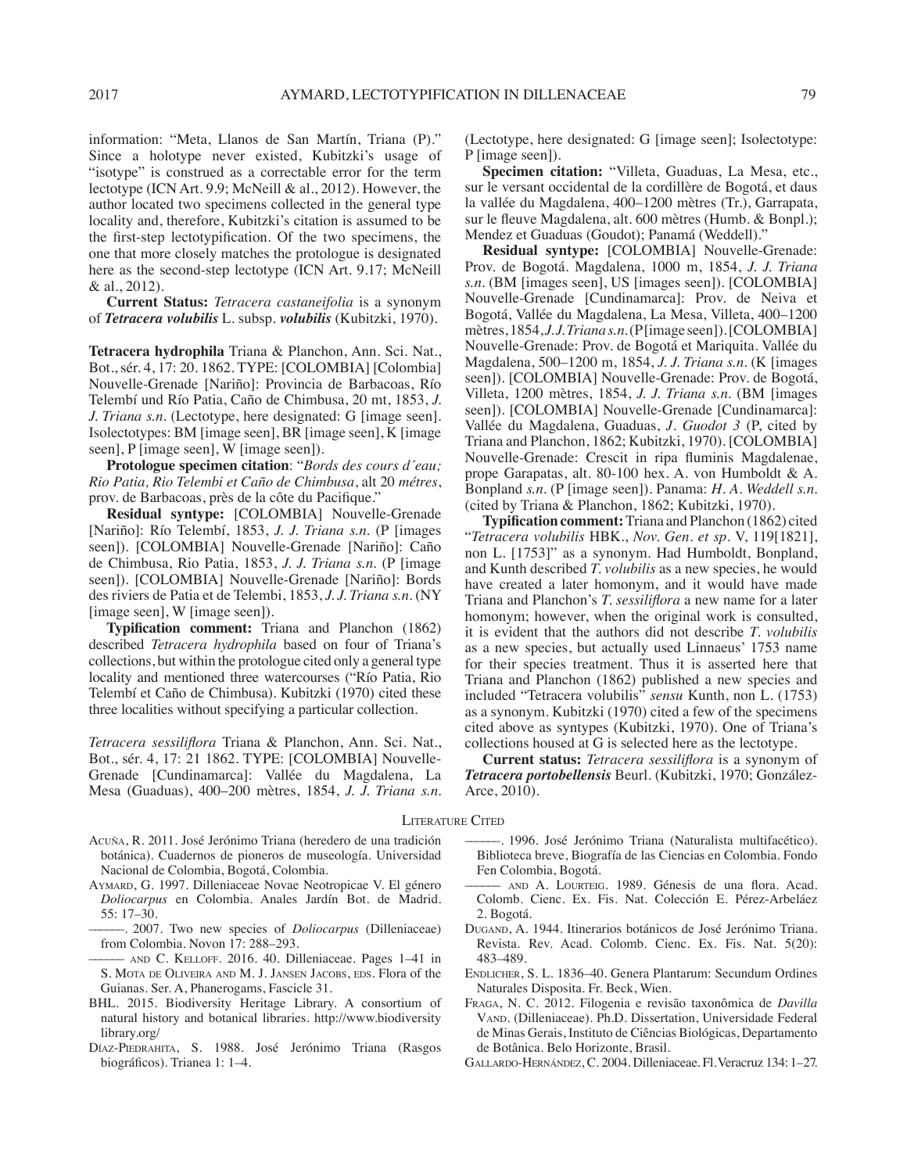information: "Meta, Llanos de San Martín, Triana (P)." Since a holotype never existed, Kubitzki's usage of "isotype" is construed as a correctable error for the term lectotype (ICN Art. 9.9; McNeill & al., 2012). However, the author located two specimens collected in the general type locality and, therefore, Kubitzki's citation is assumed to be the first-step lectotypification. Of the two specimens, the one that more closely matches the protologue is designated here as the second-step lectotype (ICN Art. 9.17; McNeill & al., 2012).

**Current Status:** *Tetracera castaneifolia* is a synonym of *Tetracera volubilis* L. subsp. *volubilis* (Kubitzki, 1970).

**Tetracera hydrophila** Triana & Planchon, Ann. Sci. Nat., Bot., sér. 4, 17: 20. 1862. TYPE: [Colombia] [Colombia] Nouvelle-Grenade [Nariño]: Provincia de Barbacoas, Río Telembí und Río Patia, Caño de Chimbusa, 20 mt, 1853, *J. J. Triana s.n.* (Lectotype, here designated: G [image seen]. Isolectotypes: BM [image seen], BR [image seen], K [image seen], P [image seen], W [image seen]).

**Protologue specimen citation**: "*Bords des cours d´eau; Rio Patia, Rio Telembi et Caño de Chimbusa*, alt 20 *métres*, prov. de Barbacoas, près de la côte du Pacifique."

**Residual syntype:** [COLOMBIA] Nouvelle-Grenade [Nariño]: Río Telembí, 1853, *J. J. Triana s.n.* (P [images seen]). [COLOMBIA] Nouvelle-Grenade [Nariño]: Caño de Chimbusa, Rio Patia, 1853, *J. J. Triana s.n.* (P [image seen]). [COLOMBIA] Nouvelle-Grenade [Nariño]: Bords des riviers de Patia et de Telembi, 1853, *J. J. Triana s.n.* (NY [image seen], W [image seen]).

**Typification comment:** Triana and Planchon (1862) described *Tetracera hydrophila* based on four of Triana's collections, but within the protologue cited only a general type locality and mentioned three watercourses ("Río Patia, Rio Telembí et Caño de Chimbusa). Kubitzki (1970) cited these three localities without specifying a particular collection.

*Tetracera sessiliflora* Triana & Planchon, Ann. Sci. Nat., Bot., sér. 4, 17: 21 1862. TYPE: [Colombia] Nouvelle-Grenade [Cundinamarca]: Vallée du Magdalena, La Mesa (Guaduas), 400–200 mètres, 1854, *J. J. Triana s.n.*

(Lectotype, here designated: G [image seen]; Isolectotype: P [image seen]).

**Specimen citation:** "Villeta, Guaduas, La Mesa, etc., sur le versant occidental de la cordillère de Bogotá, et daus la vallée du Magdalena, 400–1200 mètres (Tr.), Garrapata, sur le fleuve Magdalena, alt. 600 mètres (Humb. & Bonpl.); Mendez et Guaduas (Goudot); Panamá (Weddell)."

Residual syntype: [COLOMBIA] Nouvelle-Grenade: Prov. de Bogotá. Magdalena, 1000 m, 1854, *J. J. Triana s.n.* (BM [images seen], US [images seen]). [COLOMBIA] Nouvelle-Grenade [Cundinamarca]: Prov. de Neiva et Bogotá, Vallée du Magdalena, La Mesa, Villeta, 400–1200 mètres, 1854, *J. J. Triana s.n.* (P [image seen]). [Colombia] Nouvelle-Grenade: Prov. de Bogotá et Mariquita. Vallée du Magdalena, 500–1200 m, 1854, *J. J. Triana s.n.* (K [images seen]). [COLOMBIA] Nouvelle-Grenade: Prov. de Bogotá, Villeta, 1200 mètres, 1854, *J. J. Triana s.n.* (BM [images seen]). [COLOMBIA] Nouvelle-Grenade [Cundinamarca]: Vallée du Magdalena, Guaduas, *J. Guodot 3* (P, cited by Triana and Planchon, 1862; Kubitzki, 1970). [Colombia] Nouvelle-Grenade: Crescit in ripa fluminis Magdalenae, prope Garapatas, alt. 80-100 hex. A. von Humboldt & A. Bonpland *s.n.* (P [image seen]). Panama: *H. A. Weddell s.n.* (cited by Triana & Planchon, 1862; Kubitzki, 1970).

**Typification comment:** Triana and Planchon (1862) cited "*Tetracera volubilis* HBK., *Nov. Gen. et sp*. V, 119[1821], non L. [1753]" as a synonym. Had Humboldt, Bonpland, and Kunth described *T. volubilis* as a new species, he would have created a later homonym, and it would have made Triana and Planchon's *T. sessiliflora* a new name for a later homonym; however, when the original work is consulted, it is evident that the authors did not describe *T. volubilis* as a new species, but actually used Linnaeus' 1753 name for their species treatment. Thus it is asserted here that Triana and Planchon (1862) published a new species and included "Tetracera volubilis" *sensu* Kunth, non L. (1753) as a synonym. Kubitzki (1970) cited a few of the specimens cited above as syntypes (Kubitzki, 1970). One of Triana's collections housed at G is selected here as the lectotype.

**Current status:** *Tetracera sessiliflora* is a synonym of *Tetracera portobellensis* Beurl. (Kubitzki, 1970; González-Arce, 2010).

### LITERATURE CITED

- Acuña, R. 2011. José Jerónimo Triana (heredero de una tradición botánica). Cuadernos de pioneros de museología. Universidad Nacional de Colombia, Bogotá, Colombia.
- Aymard, G. 1997. Dilleniaceae Novae Neotropicae V. El género *Doliocarpus* en Colombia. Anales Jardín Bot. de Madrid. 55: 17–30.
- ––––––. 2007. Two new species of *Doliocarpus* (Dilleniaceae) from Colombia. Novon 17: 288–293.
- –––––– and C. Kelloff. 2016. 40. Dilleniaceae. Pages 1–41 in S. Mota de Oliveira and M. J. Jansen Jacobs, eds. Flora of the Guianas. Ser. A, Phanerogams, Fascicle 31.
- BHL. 2015. Biodiversity Heritage Library. A consortium of natural history and botanical libraries. http://www.biodiversity library.org/
- Díaz-Piedrahita, S. 1988. José Jerónimo Triana (Rasgos biográficos). Trianea 1: 1–4.
- ––––––. 1996. José Jerónimo Triana (Naturalista multifacético). Biblioteca breve, Biografía de las Ciencias en Colombia. Fondo Fen Colombia, Bogotá.
- –––––– and A. Lourteig. 1989. Génesis de una flora. Acad. Colomb. Cienc. Ex. Fis. Nat. Colección E. Pérez-Arbeláez 2. Bogotá.
- DUGAND, A. 1944. Itinerarios botánicos de José Jerónimo Triana. Revista. Rev. Acad. Colomb. Cienc. Ex. Fis. Nat. 5(20): 483–489.
- Endlicher, S. L. 1836–40. Genera Plantarum: Secundum Ordines Naturales Disposita. Fr. Beck, Wien.
- Fraga, N. C. 2012. Filogenia e revisão taxonômica de *Davilla* VAND. (Dilleniaceae). Ph.D. Dissertation, Universidade Federal de Minas Gerais, Instituto de Ciências Biológicas, Departamento de Botânica. Belo Horizonte, Brasil.
- Gallardo-Hernández, C. 2004. Dilleniaceae. Fl. Veracruz 134: 1–27.